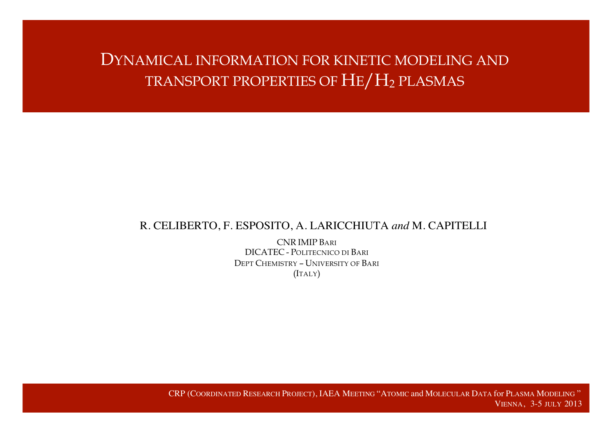# DYNAMICAL INFORMATION FOR KINETIC MODELING AND TRANSPORT PROPERTIES OF HE/H2 PLASMAS

#### R. CELIBERTO, F. ESPOSITO, A. LARICCHIUTA *and* M. CAPITELLI

CNR IMIP BARI DICATEC - POLITECNICO DI BARI DEPT CHEMISTRY – UNIVERSITY OF BARI (ITALY)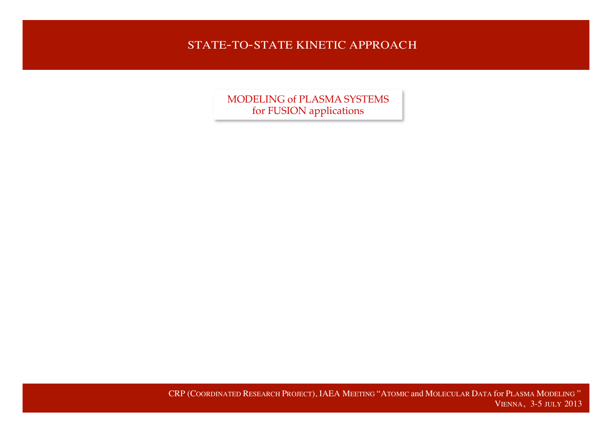### STATE-TO-STATE KINETIC APPROACH

MODELING of PLASMA SYSTEMS for FUSION applications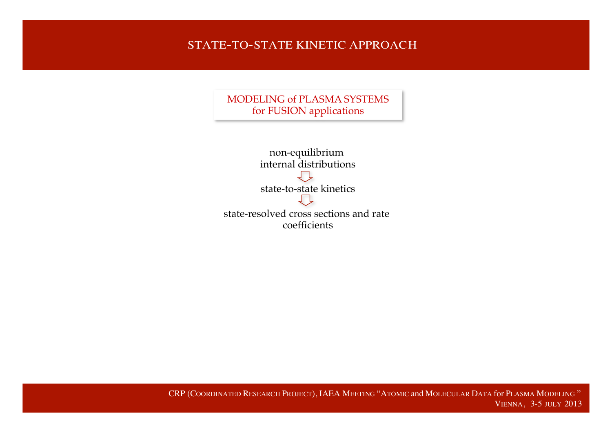### STATE-TO-STATE KINETIC APPROACH

MODELING of PLASMA SYSTEMS for FUSION applications

| non-equilibrium                        |
|----------------------------------------|
| internal distributions                 |
|                                        |
| state-to-state kinetics                |
|                                        |
| state-resolved cross sections and rate |
| coefficients                           |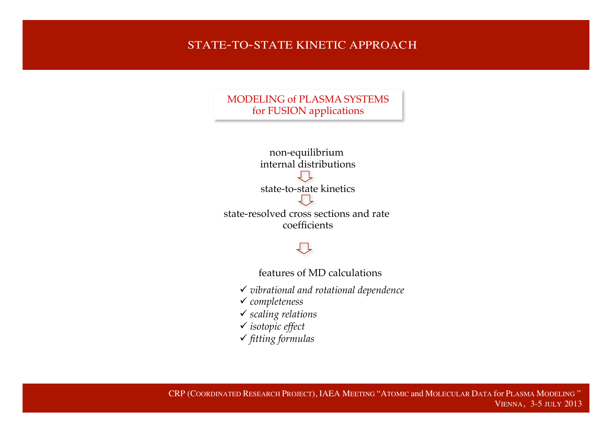#### STATE-TO-STATE KINETIC APPROACH

MODELING of PLASMA SYSTEMS for FUSION applications



しし

features of MD calculations

- ü *vibrational and rotational dependence*
- ü *completeness*
- ü *scaling relations*
- ü *isotopic effect*
- ü *fitting formulas*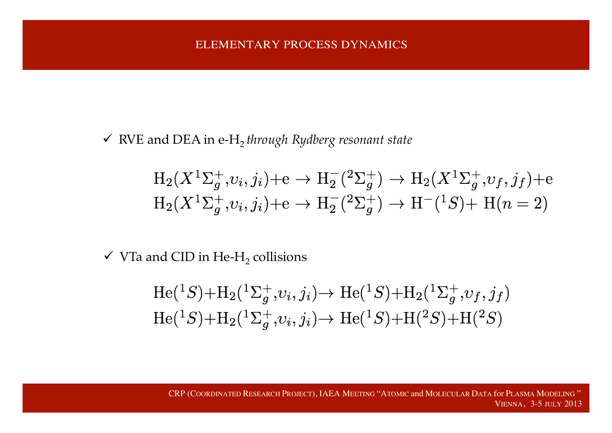ü RVE and DEA in e-H2 *through Rydberg resonant state*

$$
H_2(X^1\Sigma_g^+, v_i, j_i) + e \to H_2^-(2\Sigma_g^+) \to H_2(X^1\Sigma_g^+, v_f, j_f) + e
$$
  

$$
H_2(X^1\Sigma_g^+, v_i, j_i) + e \to H_2^-(2\Sigma_g^+) \to H^-(1S) + H(n = 2)
$$

 $\checkmark$  VTa and CID in He-H<sub>2</sub> collisions

$$
He({}^{1}S) + H_2({}^{1}\Sigma_g^+, v_i, j_i) \to He({}^{1}S) + H_2({}^{1}\Sigma_g^+, v_f, j_f)
$$
  
\n
$$
He({}^{1}S) + H_2({}^{1}\Sigma_g^+, v_i, j_i) \to He({}^{1}S) + H({}^{2}S) + H({}^{2}S)
$$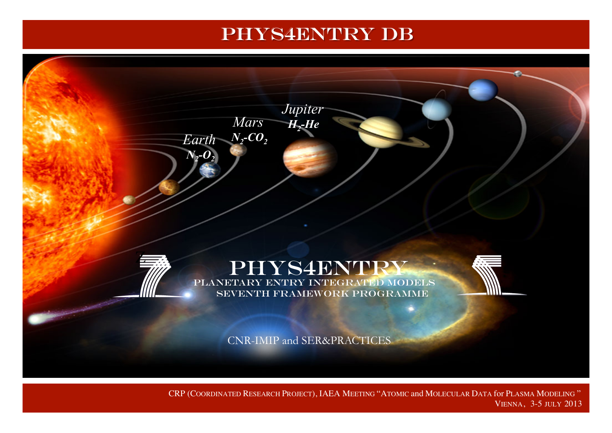# PHYS4ENTRY DB



CRP (COORDINATED RESEARCH PROJECT), IAEA MEETING "ATOMIC and MOLECULAR DATA for PLASMA MODELING " VIENNA, 3-5 JULY 2013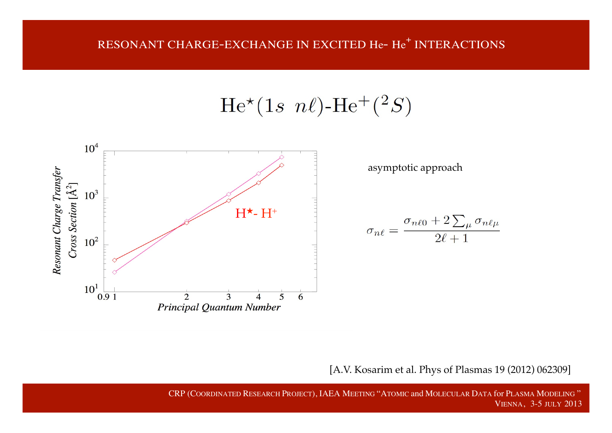$He^{*}(1s \ n\ell)$ -He<sup>+</sup>(<sup>2</sup>S)



asymptotic approach

$$
\sigma_{n\ell} = \frac{\sigma_{n\ell 0} + 2\sum_{\mu} \sigma_{n\ell \mu}}{2\ell + 1}
$$

[A.V. Kosarim et al. Phys of Plasmas 19 (2012) 062309]